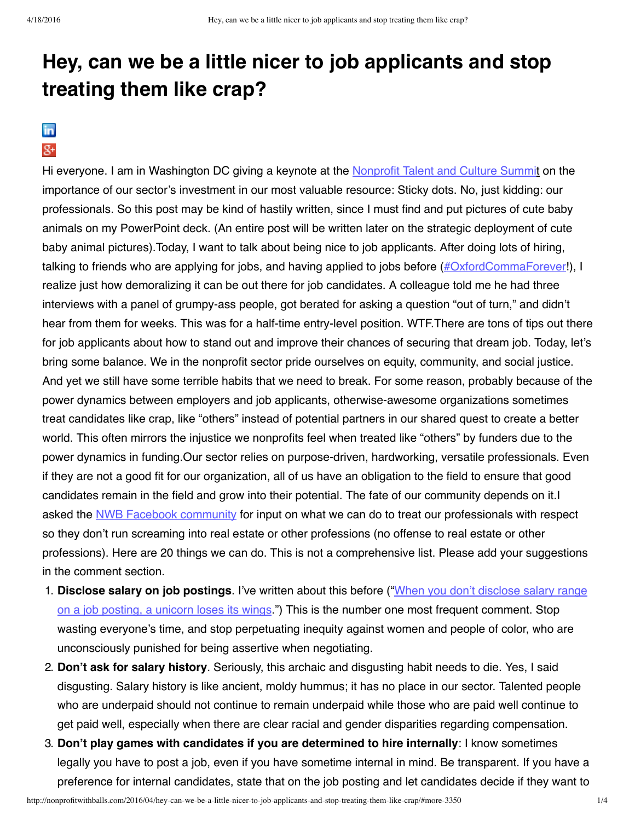## **Hey, can we be a little nicer to job applicants and stop treating them like crap?**

## in  $g_{+}$

Hi everyone. I am in Washington DC giving a keynote at the [Nonprofit](http://nonprofittalentsummit.com/) Talent and Culture Summit on the importance of our sector's investment in our most valuable resource: Sticky dots. No, just kidding: our professionals. So this post may be kind of hastily written, since I must find and put pictures of cute baby animals on my PowerPoint deck. (An entire post will be written later on the strategic deployment of cute baby animal pictures).Today, I want to talk about being nice to job applicants. After doing lots of hiring, talking to friends who are applying for jobs, and having applied to jobs before  $(\#OxfordCommaForest)$ , I realize just how demoralizing it can be out there for job candidates. A colleague told me he had three interviews with a panel of grumpy-ass people, got berated for asking a question "out of turn," and didn't hear from them for weeks. This was for a half-time entry-level position. WTF.There are tons of tips out there for job applicants about how to stand out and improve their chances of securing that dream job. Today, let's bring some balance. We in the nonprofit sector pride ourselves on equity, community, and social justice. And yet we still have some terrible habits that we need to break. For some reason, probably because of the power dynamics between employers and job applicants, otherwise-awesome organizations sometimes treat candidates like crap, like "others" instead of potential partners in our shared quest to create a better world. This often mirrors the injustice we nonprofits feel when treated like "others" by funders due to the power dynamics in funding.Our sector relies on purpose-driven, hardworking, versatile professionals. Even if they are not a good fit for our organization, all of us have an obligation to the field to ensure that good candidates remain in the field and grow into their potential. The fate of our community depends on it.I asked the NWB Facebook [community](https://www.facebook.com/nonprofitwithballs/) for input on what we can do to treat our professionals with respect so they don't run screaming into real estate or other professions (no offense to real estate or other professions). Here are 20 things we can do. This is not a comprehensive list. Please add your suggestions in the comment section.

- 1. **Disclose salary on job postings**. I've written about this before ("When you don't disclose salary range on a job posting, a unicorn loses its wings.") This is the number one most frequent [comment.](http://nonprofitwithballs.com/2015/06/when-you-dont-disclose-salary-range-on-a-job-posting-a-unicorn-loses-its-wings/) Stop wasting everyone's time, and stop perpetuating inequity against women and people of color, who are unconsciously punished for being assertive when negotiating.
- 2. **Don't ask for salary history**. Seriously, this archaic and disgusting habit needs to die. Yes, I said disgusting. Salary history is like ancient, moldy hummus; it has no place in our sector. Talented people who are underpaid should not continue to remain underpaid while those who are paid well continue to get paid well, especially when there are clear racial and gender disparities regarding compensation.
- 3. **Don't play games with candidates if you are determined to hire internally**: I know sometimes legally you have to post a job, even if you have sometime internal in mind. Be transparent. If you have a preference for internal candidates, state that on the job posting and let candidates decide if they want to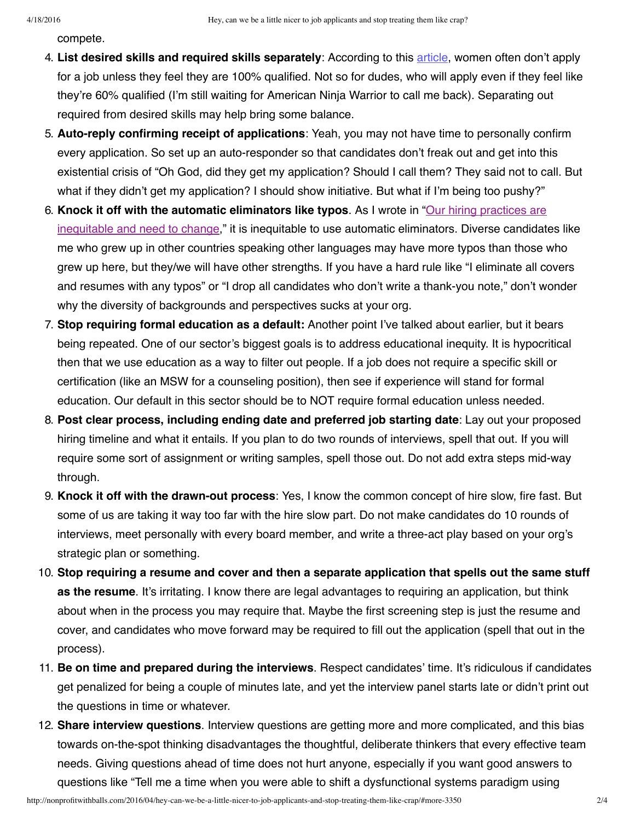compete.

- 4. **List desired skills and required skills separately**: According to this [article](http://www.economist.com/news/books-and-arts/21573524-what-must-change-women-make-it-top-feminist-mystique), women often don't apply for a job unless they feel they are 100% qualified. Not so for dudes, who will apply even if they feel like they're 60% qualified (I'm still waiting for American Ninja Warrior to call me back). Separating out required from desired skills may help bring some balance.
- 5. **Auto-reply confirming receipt of applications**: Yeah, you may not have time to personally confirm every application. So set up an auto-responder so that candidates don't freak out and get into this existential crisis of "Oh God, did they get my application? Should I call them? They said not to call. But what if they didn't get my application? I should show initiative. But what if I'm being too pushy?"
- 6. **Knock it off with the automatic [eliminators](http://nonprofitwithballs.com/2015/04/our-hiring-practices-are-inequitable-and-need-to-change/) like typos**. As I wrote in "Our hiring practices are inequitable and need to change," it is inequitable to use automatic eliminators. Diverse candidates like me who grew up in other countries speaking other languages may have more typos than those who grew up here, but they/we will have other strengths. If you have a hard rule like "I eliminate all covers and resumes with any typos" or "I drop all candidates who don't write a thank-you note," don't wonder why the diversity of backgrounds and perspectives sucks at your org.
- 7. **Stop requiring formal education as a default:** Another point I've talked about earlier, but it bears being repeated. One of our sector's biggest goals is to address educational inequity. It is hypocritical then that we use education as a way to filter out people. If a job does not require a specific skill or certification (like an MSW for a counseling position), then see if experience will stand for formal education. Our default in this sector should be to NOT require formal education unless needed.
- 8. **Post clear process, including ending date and preferred job starting date**: Lay out your proposed hiring timeline and what it entails. If you plan to do two rounds of interviews, spell that out. If you will require some sort of assignment or writing samples, spell those out. Do not add extra steps mid-way through.
- 9. **Knock it off with the drawn-out process**: Yes, I know the common concept of hire slow, fire fast. But some of us are taking it way too far with the hire slow part. Do not make candidates do 10 rounds of interviews, meet personally with every board member, and write a three-act play based on your org's strategic plan or something.
- 10. **Stop requiring a resume and cover and then a separate application that spells out the same stuff as the resume**. It's irritating. I know there are legal advantages to requiring an application, but think about when in the process you may require that. Maybe the first screening step is just the resume and cover, and candidates who move forward may be required to fill out the application (spell that out in the process).
- 11. **Be on time and prepared during the interviews**. Respect candidates' time. It's ridiculous if candidates get penalized for being a couple of minutes late, and yet the interview panel starts late or didn't print out the questions in time or whatever.
- 12. **Share interview questions**. Interview questions are getting more and more complicated, and this bias towards on-the-spot thinking disadvantages the thoughtful, deliberate thinkers that every effective team needs. Giving questions ahead of time does not hurt anyone, especially if you want good answers to questions like "Tell me a time when you were able to shift a dysfunctional systems paradigm using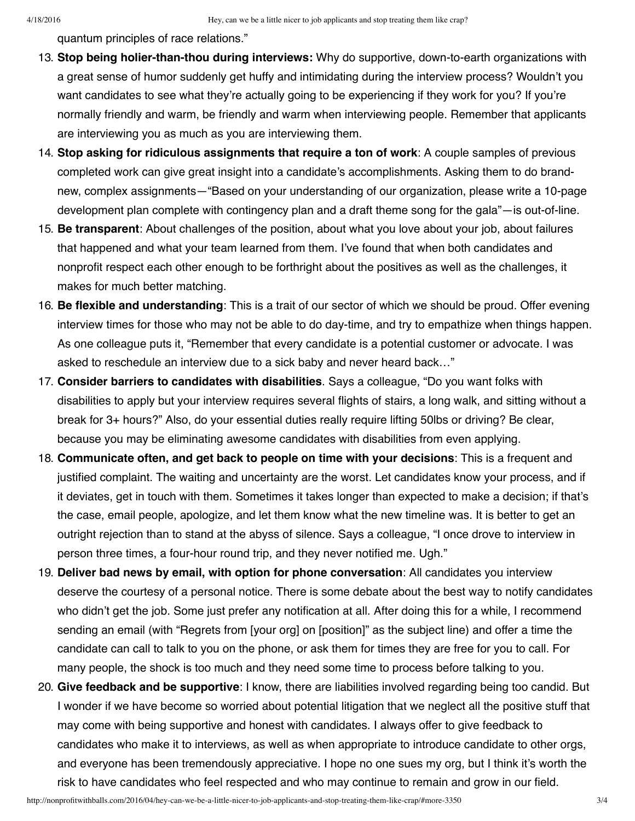quantum principles of race relations."

- 13. **Stop being holier-than-thou during interviews:** Why do supportive, down-to-earth organizations with a great sense of humor suddenly get huffy and intimidating during the interview process? Wouldn't you want candidates to see what they're actually going to be experiencing if they work for you? If you're normally friendly and warm, be friendly and warm when interviewing people. Remember that applicants are interviewing you as much as you are interviewing them.
- 14. **Stop asking for ridiculous assignments that require a ton of work**: A couple samples of previous completed work can give great insight into a candidate's accomplishments. Asking them to do brandnew, complex assignments—"Based on your understanding of our organization, please write a 10-page development plan complete with contingency plan and a draft theme song for the gala"—is out-of-line.
- 15. **Be transparent**: About challenges of the position, about what you love about your job, about failures that happened and what your team learned from them. I've found that when both candidates and nonprofit respect each other enough to be forthright about the positives as well as the challenges, it makes for much better matching.
- 16. **Be flexible and understanding**: This is a trait of our sector of which we should be proud. Offer evening interview times for those who may not be able to do day-time, and try to empathize when things happen. As one colleague puts it, "Remember that every candidate is a potential customer or advocate. I was asked to reschedule an interview due to a sick baby and never heard back…"
- 17. **Consider barriers to candidates with disabilities**. Says a colleague, "Do you want folks with disabilities to apply but your interview requires several flights of stairs, a long walk, and sitting without a break for 3+ hours?" Also, do your essential duties really require lifting 50lbs or driving? Be clear, because you may be eliminating awesome candidates with disabilities from even applying.
- 18. **Communicate often, and get back to people on time with your decisions**: This is a frequent and justified complaint. The waiting and uncertainty are the worst. Let candidates know your process, and if it deviates, get in touch with them. Sometimes it takes longer than expected to make a decision; if that's the case, email people, apologize, and let them know what the new timeline was. It is better to get an outright rejection than to stand at the abyss of silence. Says a colleague, "I once drove to interview in person three times, a four-hour round trip, and they never notified me. Ugh."
- 19. **Deliver bad news by email, with option for phone conversation**: All candidates you interview deserve the courtesy of a personal notice. There is some debate about the best way to notify candidates who didn't get the job. Some just prefer any notification at all. After doing this for a while, I recommend sending an email (with "Regrets from [your org] on [position]" as the subject line) and offer a time the candidate can call to talk to you on the phone, or ask them for times they are free for you to call. For many people, the shock is too much and they need some time to process before talking to you.
- 20. **Give feedback and be supportive**: I know, there are liabilities involved regarding being too candid. But I wonder if we have become so worried about potential litigation that we neglect all the positive stuff that may come with being supportive and honest with candidates. I always offer to give feedback to candidates who make it to interviews, as well as when appropriate to introduce candidate to other orgs, and everyone has been tremendously appreciative. I hope no one sues my org, but I think it's worth the risk to have candidates who feel respected and who may continue to remain and grow in our field.